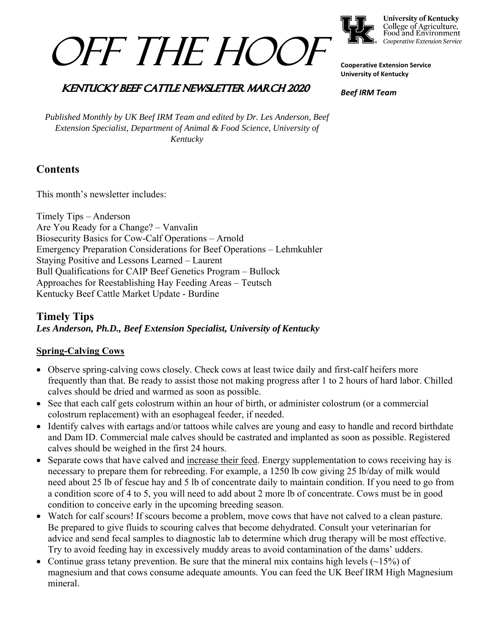



**University of Kentucky** College of Agriculture,<br>Food and Environment Cooperative Extension Service

**Cooperative Extension Service University of Kentucky** 

*Beef IRM Team* 

## **KENTUCKY BEEF CATTLE NEWSLETTER MARCH 2020**

*Published Monthly by UK Beef IRM Team and edited by Dr. Les Anderson, Beef Extension Specialist, Department of Animal & Food Science, University of Kentucky* 

# **Contents**

This month's newsletter includes:

Timely Tips – Anderson Are You Ready for a Change? – Vanvalin Biosecurity Basics for Cow-Calf Operations – Arnold Emergency Preparation Considerations for Beef Operations – Lehmkuhler Staying Positive and Lessons Learned – Laurent Bull Qualifications for CAIP Beef Genetics Program – Bullock Approaches for Reestablishing Hay Feeding Areas – Teutsch Kentucky Beef Cattle Market Update - Burdine

## **Timely Tips** *Les Anderson, Ph.D., Beef Extension Specialist, University of Kentucky*

## **Spring-Calving Cows**

- Observe spring-calving cows closely. Check cows at least twice daily and first-calf heifers more frequently than that. Be ready to assist those not making progress after 1 to 2 hours of hard labor. Chilled calves should be dried and warmed as soon as possible.
- See that each calf gets colostrum within an hour of birth, or administer colostrum (or a commercial colostrum replacement) with an esophageal feeder, if needed.
- Identify calves with eartags and/or tattoos while calves are young and easy to handle and record birthdate and Dam ID. Commercial male calves should be castrated and implanted as soon as possible. Registered calves should be weighed in the first 24 hours.
- Separate cows that have calved and increase their feed. Energy supplementation to cows receiving hay is necessary to prepare them for rebreeding. For example, a 1250 lb cow giving 25 lb/day of milk would need about 25 lb of fescue hay and 5 lb of concentrate daily to maintain condition. If you need to go from a condition score of 4 to 5, you will need to add about 2 more lb of concentrate. Cows must be in good condition to conceive early in the upcoming breeding season.
- Watch for calf scours! If scours become a problem, move cows that have not calved to a clean pasture. Be prepared to give fluids to scouring calves that become dehydrated. Consult your veterinarian for advice and send fecal samples to diagnostic lab to determine which drug therapy will be most effective. Try to avoid feeding hay in excessively muddy areas to avoid contamination of the dams' udders.
- Continue grass tetany prevention. Be sure that the mineral mix contains high levels  $(\sim 15\%)$  of magnesium and that cows consume adequate amounts. You can feed the UK Beef IRM High Magnesium mineral.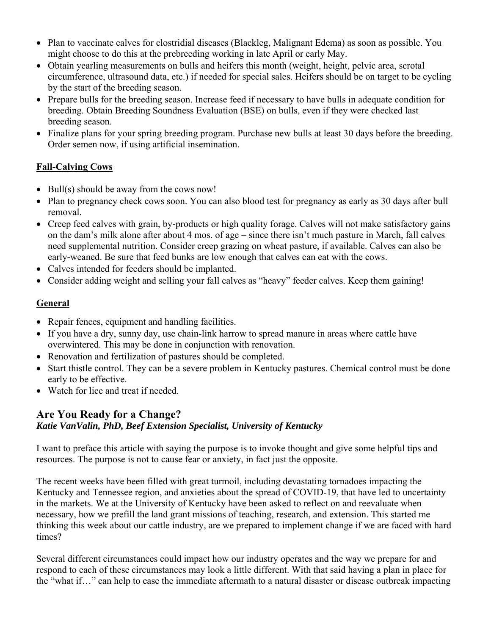- Plan to vaccinate calves for clostridial diseases (Blackleg, Malignant Edema) as soon as possible. You might choose to do this at the prebreeding working in late April or early May.
- Obtain yearling measurements on bulls and heifers this month (weight, height, pelvic area, scrotal circumference, ultrasound data, etc.) if needed for special sales. Heifers should be on target to be cycling by the start of the breeding season.
- Prepare bulls for the breeding season. Increase feed if necessary to have bulls in adequate condition for breeding. Obtain Breeding Soundness Evaluation (BSE) on bulls, even if they were checked last breeding season.
- Finalize plans for your spring breeding program. Purchase new bulls at least 30 days before the breeding. Order semen now, if using artificial insemination.

## **Fall-Calving Cows**

- Bull(s) should be away from the cows now!
- Plan to pregnancy check cows soon. You can also blood test for pregnancy as early as 30 days after bull removal.
- Creep feed calves with grain, by-products or high quality forage. Calves will not make satisfactory gains on the dam's milk alone after about 4 mos. of age – since there isn't much pasture in March, fall calves need supplemental nutrition. Consider creep grazing on wheat pasture, if available. Calves can also be early-weaned. Be sure that feed bunks are low enough that calves can eat with the cows.
- Calves intended for feeders should be implanted.
- Consider adding weight and selling your fall calves as "heavy" feeder calves. Keep them gaining!

## **General**

- Repair fences, equipment and handling facilities.
- If you have a dry, sunny day, use chain-link harrow to spread manure in areas where cattle have overwintered. This may be done in conjunction with renovation.
- Renovation and fertilization of pastures should be completed.
- Start thistle control. They can be a severe problem in Kentucky pastures. Chemical control must be done early to be effective.
- Watch for lice and treat if needed.

## **Are You Ready for a Change?**

## *Katie VanValin, PhD, Beef Extension Specialist, University of Kentucky*

I want to preface this article with saying the purpose is to invoke thought and give some helpful tips and resources. The purpose is not to cause fear or anxiety, in fact just the opposite.

The recent weeks have been filled with great turmoil, including devastating tornadoes impacting the Kentucky and Tennessee region, and anxieties about the spread of COVID-19, that have led to uncertainty in the markets. We at the University of Kentucky have been asked to reflect on and reevaluate when necessary, how we prefill the land grant missions of teaching, research, and extension. This started me thinking this week about our cattle industry, are we prepared to implement change if we are faced with hard times?

Several different circumstances could impact how our industry operates and the way we prepare for and respond to each of these circumstances may look a little different. With that said having a plan in place for the "what if…" can help to ease the immediate aftermath to a natural disaster or disease outbreak impacting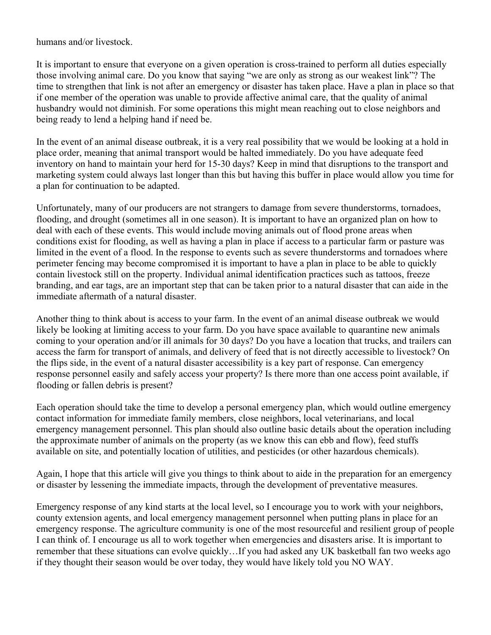humans and/or livestock.

It is important to ensure that everyone on a given operation is cross-trained to perform all duties especially those involving animal care. Do you know that saying "we are only as strong as our weakest link"? The time to strengthen that link is not after an emergency or disaster has taken place. Have a plan in place so that if one member of the operation was unable to provide affective animal care, that the quality of animal husbandry would not diminish. For some operations this might mean reaching out to close neighbors and being ready to lend a helping hand if need be.

In the event of an animal disease outbreak, it is a very real possibility that we would be looking at a hold in place order, meaning that animal transport would be halted immediately. Do you have adequate feed inventory on hand to maintain your herd for 15-30 days? Keep in mind that disruptions to the transport and marketing system could always last longer than this but having this buffer in place would allow you time for a plan for continuation to be adapted.

Unfortunately, many of our producers are not strangers to damage from severe thunderstorms, tornadoes, flooding, and drought (sometimes all in one season). It is important to have an organized plan on how to deal with each of these events. This would include moving animals out of flood prone areas when conditions exist for flooding, as well as having a plan in place if access to a particular farm or pasture was limited in the event of a flood. In the response to events such as severe thunderstorms and tornadoes where perimeter fencing may become compromised it is important to have a plan in place to be able to quickly contain livestock still on the property. Individual animal identification practices such as tattoos, freeze branding, and ear tags, are an important step that can be taken prior to a natural disaster that can aide in the immediate aftermath of a natural disaster.

Another thing to think about is access to your farm. In the event of an animal disease outbreak we would likely be looking at limiting access to your farm. Do you have space available to quarantine new animals coming to your operation and/or ill animals for 30 days? Do you have a location that trucks, and trailers can access the farm for transport of animals, and delivery of feed that is not directly accessible to livestock? On the flips side, in the event of a natural disaster accessibility is a key part of response. Can emergency response personnel easily and safely access your property? Is there more than one access point available, if flooding or fallen debris is present?

Each operation should take the time to develop a personal emergency plan, which would outline emergency contact information for immediate family members, close neighbors, local veterinarians, and local emergency management personnel. This plan should also outline basic details about the operation including the approximate number of animals on the property (as we know this can ebb and flow), feed stuffs available on site, and potentially location of utilities, and pesticides (or other hazardous chemicals).

Again, I hope that this article will give you things to think about to aide in the preparation for an emergency or disaster by lessening the immediate impacts, through the development of preventative measures.

Emergency response of any kind starts at the local level, so I encourage you to work with your neighbors, county extension agents, and local emergency management personnel when putting plans in place for an emergency response. The agriculture community is one of the most resourceful and resilient group of people I can think of. I encourage us all to work together when emergencies and disasters arise. It is important to remember that these situations can evolve quickly…If you had asked any UK basketball fan two weeks ago if they thought their season would be over today, they would have likely told you NO WAY.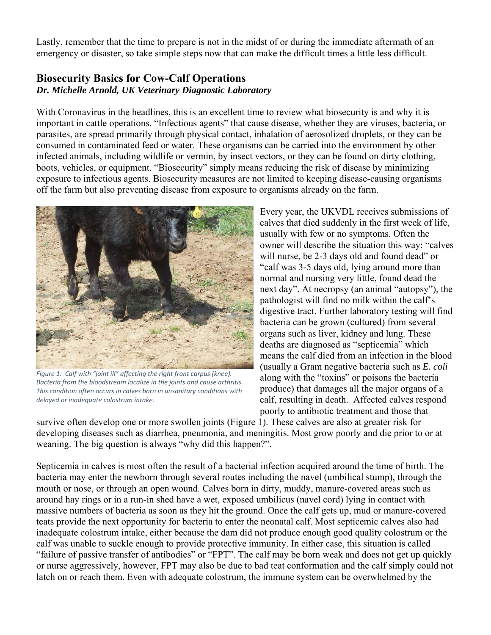Lastly, remember that the time to prepare is not in the midst of or during the immediate aftermath of an emergency or disaster, so take simple steps now that can make the difficult times a little less difficult.

## **Biosecurity Basics for Cow-Calf Operations**  *Dr. Michelle Arnold, UK Veterinary Diagnostic Laboratory*

With Coronavirus in the headlines, this is an excellent time to review what biosecurity is and why it is important in cattle operations. "Infectious agents" that cause disease, whether they are viruses, bacteria, or parasites, are spread primarily through physical contact, inhalation of aerosolized droplets, or they can be consumed in contaminated feed or water. These organisms can be carried into the environment by other infected animals, including wildlife or vermin, by insect vectors, or they can be found on dirty clothing, boots, vehicles, or equipment. "Biosecurity" simply means reducing the risk of disease by minimizing exposure to infectious agents. Biosecurity measures are not limited to keeping disease-causing organisms off the farm but also preventing disease from exposure to organisms already on the farm.



Figure 1: Calf with "joint ill" affecting the right front carpus (knee). *Bacteria from the bloodstream localize in the joints and cause arthritis. This condition often occurs in calves born in unsanitary conditions with delayed or inadequate colostrum intake.* 

Every year, the UKVDL receives submissions of calves that died suddenly in the first week of life, usually with few or no symptoms. Often the owner will describe the situation this way: "calves will nurse, be 2-3 days old and found dead" or "calf was 3-5 days old, lying around more than normal and nursing very little, found dead the next day". At necropsy (an animal "autopsy"), the pathologist will find no milk within the calf's digestive tract. Further laboratory testing will find bacteria can be grown (cultured) from several organs such as liver, kidney and lung. These deaths are diagnosed as "septicemia" which means the calf died from an infection in the blood (usually a Gram negative bacteria such as *E. coli* along with the "toxins" or poisons the bacteria produce) that damages all the major organs of a calf, resulting in death. Affected calves respond poorly to antibiotic treatment and those that

survive often develop one or more swollen joints (Figure 1). These calves are also at greater risk for developing diseases such as diarrhea, pneumonia, and meningitis. Most grow poorly and die prior to or at weaning. The big question is always "why did this happen?".

Septicemia in calves is most often the result of a bacterial infection acquired around the time of birth. The bacteria may enter the newborn through several routes including the navel (umbilical stump), through the mouth or nose, or through an open wound. Calves born in dirty, muddy, manure-covered areas such as around hay rings or in a run-in shed have a wet, exposed umbilicus (navel cord) lying in contact with massive numbers of bacteria as soon as they hit the ground. Once the calf gets up, mud or manure-covered teats provide the next opportunity for bacteria to enter the neonatal calf. Most septicemic calves also had inadequate colostrum intake, either because the dam did not produce enough good quality colostrum or the calf was unable to suckle enough to provide protective immunity. In either case, this situation is called "failure of passive transfer of antibodies" or "FPT". The calf may be born weak and does not get up quickly or nurse aggressively, however, FPT may also be due to bad teat conformation and the calf simply could not latch on or reach them. Even with adequate colostrum, the immune system can be overwhelmed by the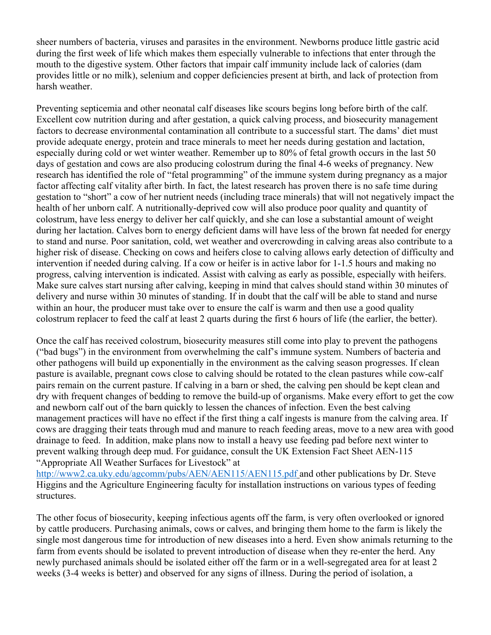sheer numbers of bacteria, viruses and parasites in the environment. Newborns produce little gastric acid during the first week of life which makes them especially vulnerable to infections that enter through the mouth to the digestive system. Other factors that impair calf immunity include lack of calories (dam provides little or no milk), selenium and copper deficiencies present at birth, and lack of protection from harsh weather.

Preventing septicemia and other neonatal calf diseases like scours begins long before birth of the calf. Excellent cow nutrition during and after gestation, a quick calving process, and biosecurity management factors to decrease environmental contamination all contribute to a successful start. The dams' diet must provide adequate energy, protein and trace minerals to meet her needs during gestation and lactation, especially during cold or wet winter weather. Remember up to 80% of fetal growth occurs in the last 50 days of gestation and cows are also producing colostrum during the final 4-6 weeks of pregnancy. New research has identified the role of "fetal programming" of the immune system during pregnancy as a major factor affecting calf vitality after birth. In fact, the latest research has proven there is no safe time during gestation to "short" a cow of her nutrient needs (including trace minerals) that will not negatively impact the health of her unborn calf. A nutritionally-deprived cow will also produce poor quality and quantity of colostrum, have less energy to deliver her calf quickly, and she can lose a substantial amount of weight during her lactation. Calves born to energy deficient dams will have less of the brown fat needed for energy to stand and nurse. Poor sanitation, cold, wet weather and overcrowding in calving areas also contribute to a higher risk of disease. Checking on cows and heifers close to calving allows early detection of difficulty and intervention if needed during calving. If a cow or heifer is in active labor for 1-1.5 hours and making no progress, calving intervention is indicated. Assist with calving as early as possible, especially with heifers. Make sure calves start nursing after calving, keeping in mind that calves should stand within 30 minutes of delivery and nurse within 30 minutes of standing. If in doubt that the calf will be able to stand and nurse within an hour, the producer must take over to ensure the calf is warm and then use a good quality colostrum replacer to feed the calf at least 2 quarts during the first 6 hours of life (the earlier, the better).

Once the calf has received colostrum, biosecurity measures still come into play to prevent the pathogens ("bad bugs") in the environment from overwhelming the calf's immune system. Numbers of bacteria and other pathogens will build up exponentially in the environment as the calving season progresses. If clean pasture is available, pregnant cows close to calving should be rotated to the clean pastures while cow-calf pairs remain on the current pasture. If calving in a barn or shed, the calving pen should be kept clean and dry with frequent changes of bedding to remove the build-up of organisms. Make every effort to get the cow and newborn calf out of the barn quickly to lessen the chances of infection. Even the best calving management practices will have no effect if the first thing a calf ingests is manure from the calving area. If cows are dragging their teats through mud and manure to reach feeding areas, move to a new area with good drainage to feed. In addition, make plans now to install a heavy use feeding pad before next winter to prevent walking through deep mud. For guidance, consult the UK Extension Fact Sheet AEN-115 "Appropriate All Weather Surfaces for Livestock" at

http://www2.ca.uky.edu/agcomm/pubs/AEN/AEN115/AEN115.pdf and other publications by Dr. Steve Higgins and the Agriculture Engineering faculty for installation instructions on various types of feeding structures.

The other focus of biosecurity, keeping infectious agents off the farm, is very often overlooked or ignored by cattle producers. Purchasing animals, cows or calves, and bringing them home to the farm is likely the single most dangerous time for introduction of new diseases into a herd. Even show animals returning to the farm from events should be isolated to prevent introduction of disease when they re-enter the herd. Any newly purchased animals should be isolated either off the farm or in a well-segregated area for at least 2 weeks (3-4 weeks is better) and observed for any signs of illness. During the period of isolation, a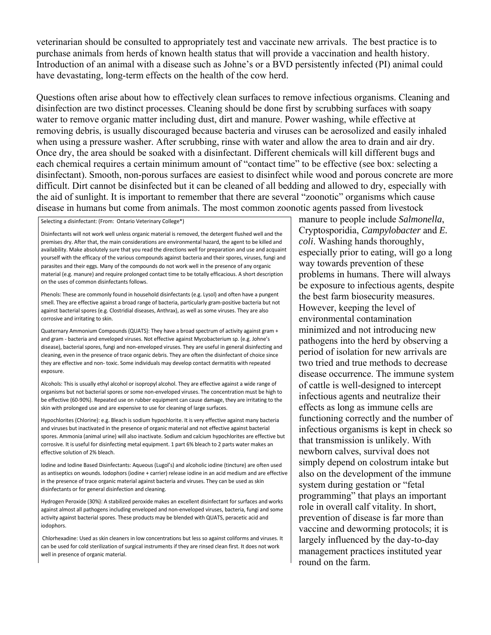veterinarian should be consulted to appropriately test and vaccinate new arrivals. The best practice is to purchase animals from herds of known health status that will provide a vaccination and health history. Introduction of an animal with a disease such as Johne's or a BVD persistently infected (PI) animal could have devastating, long-term effects on the health of the cow herd.

Questions often arise about how to effectively clean surfaces to remove infectious organisms. Cleaning and disinfection are two distinct processes. Cleaning should be done first by scrubbing surfaces with soapy water to remove organic matter including dust, dirt and manure. Power washing, while effective at removing debris, is usually discouraged because bacteria and viruses can be aerosolized and easily inhaled when using a pressure washer. After scrubbing, rinse with water and allow the area to drain and air dry. Once dry, the area should be soaked with a disinfectant. Different chemicals will kill different bugs and each chemical requires a certain minimum amount of "contact time" to be effective (see box: selecting a disinfectant). Smooth, non-porous surfaces are easiest to disinfect while wood and porous concrete are more difficult. Dirt cannot be disinfected but it can be cleaned of all bedding and allowed to dry, especially with the aid of sunlight. It is important to remember that there are several "zoonotic" organisms which cause disease in humans but come from animals. The most common zoonotic agents passed from livestock

Selecting a disinfectant: (From: Ontario Veterinary College\*)

Disinfectants will not work well unless organic material is removed, the detergent flushed well and the premises dry. After that, the main considerations are environmental hazard, the agent to be killed and availability. Make absolutely sure that you read the directions well for preparation and use and acquaint yourself with the efficacy of the various compounds against bacteria and their spores, viruses, fungi and parasites and their eggs. Many of the compounds do not work well in the presence of any organic material (e.g. manure) and require prolonged contact time to be totally efficacious. A short description on the uses of common disinfectants follows.

Phenols: These are commonly found in household disinfectants (e.g. Lysol) and often have a pungent smell. They are effective against a broad range of bacteria, particularly gram-positive bacteria but not against bacterial spores (e.g. Clostridial diseases, Anthrax), as well as some viruses. They are also corrosive and irritating to skin.

Quaternary Ammonium Compounds (QUATS): They have a broad spectrum of activity against gram + and gram ‐ bacteria and enveloped viruses. Not effective against Mycobacterium sp. (e.g. Johne's disease), bacterial spores, fungi and non‐enveloped viruses. They are useful in general disinfecting and cleaning, even in the presence of trace organic debris. They are often the disinfectant of choice since they are effective and non‐ toxic. Some individuals may develop contact dermatitis with repeated exposure.

Alcohols: This is usually ethyl alcohol or isopropyl alcohol. They are effective against a wide range of organisms but not bacterial spores or some non‐enveloped viruses. The concentration must be high to be effective (60-90%). Repeated use on rubber equipment can cause damage, they are irritating to the skin with prolonged use and are expensive to use for cleaning of large surfaces.

Hypochlorites (Chlorine): e.g. Bleach is sodium hypochlorite. It is very effective against many bacteria and viruses but inactivated in the presence of organic material and not effective against bacterial spores. Ammonia (animal urine) will also inactivate. Sodium and calcium hypochlorites are effective but corrosive. It is useful for disinfecting metal equipment. 1 part 6% bleach to 2 parts water makes an effective solution of 2% bleach.

Iodine and Iodine Based Disinfectants: Aqueous (Lugol's) and alcoholic iodine (tincture) are often used as antiseptics on wounds. Iodophors (iodine + carrier) release iodine in an acid medium and are effective in the presence of trace organic material against bacteria and viruses. They can be used as skin disinfectants or for general disinfection and cleaning.

Hydrogen Peroxide (30%): A stabilized peroxide makes an excellent disinfectant for surfaces and works against almost all pathogens including enveloped and non-enveloped viruses, bacteria, fungi and some activity against bacterial spores. These products may be blended with QUATS, peracetic acid and iodophors.

 Chlorhexadine: Used as skin cleaners in low concentrations but less so against coliforms and viruses. It can be used for cold sterilization of surgical instruments if they are rinsed clean first. It does not work well in presence of organic material.

manure to people include *Salmonella*, Cryptosporidia, *Campylobacter* and *E. coli*. Washing hands thoroughly, especially prior to eating, will go a long way towards prevention of these problems in humans. There will always be exposure to infectious agents, despite the best farm biosecurity measures. However, keeping the level of environmental contamination minimized and not introducing new pathogens into the herd by observing a period of isolation for new arrivals are two tried and true methods to decrease disease occurrence. The immune system of cattle is well-designed to intercept infectious agents and neutralize their effects as long as immune cells are functioning correctly and the number of infectious organisms is kept in check so that transmission is unlikely. With newborn calves, survival does not simply depend on colostrum intake but also on the development of the immune system during gestation or "fetal programming" that plays an important role in overall calf vitality. In short, prevention of disease is far more than vaccine and deworming protocols; it is largely influenced by the day-to-day management practices instituted year round on the farm.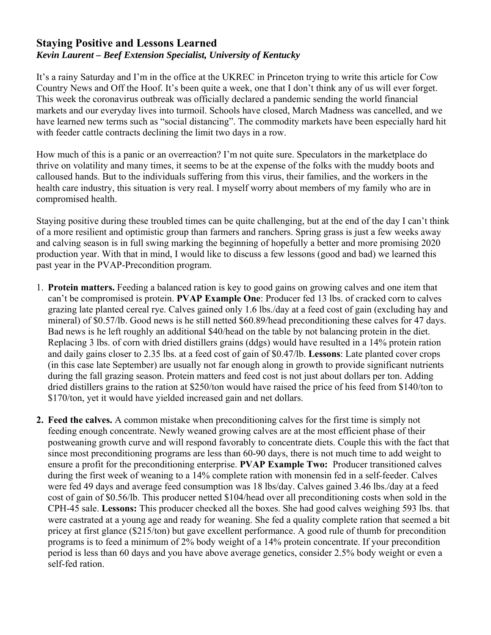## **Staying Positive and Lessons Learned**  *Kevin Laurent – Beef Extension Specialist, University of Kentucky*

It's a rainy Saturday and I'm in the office at the UKREC in Princeton trying to write this article for Cow Country News and Off the Hoof. It's been quite a week, one that I don't think any of us will ever forget. This week the coronavirus outbreak was officially declared a pandemic sending the world financial markets and our everyday lives into turmoil. Schools have closed, March Madness was cancelled, and we have learned new terms such as "social distancing". The commodity markets have been especially hard hit with feeder cattle contracts declining the limit two days in a row.

How much of this is a panic or an overreaction? I'm not quite sure. Speculators in the marketplace do thrive on volatility and many times, it seems to be at the expense of the folks with the muddy boots and calloused hands. But to the individuals suffering from this virus, their families, and the workers in the health care industry, this situation is very real. I myself worry about members of my family who are in compromised health.

Staying positive during these troubled times can be quite challenging, but at the end of the day I can't think of a more resilient and optimistic group than farmers and ranchers. Spring grass is just a few weeks away and calving season is in full swing marking the beginning of hopefully a better and more promising 2020 production year. With that in mind, I would like to discuss a few lessons (good and bad) we learned this past year in the PVAP-Precondition program.

- 1. **Protein matters.** Feeding a balanced ration is key to good gains on growing calves and one item that can't be compromised is protein. **PVAP Example One**: Producer fed 13 lbs. of cracked corn to calves grazing late planted cereal rye. Calves gained only 1.6 lbs./day at a feed cost of gain (excluding hay and mineral) of \$0.57/lb. Good news is he still netted \$60.89/head preconditioning these calves for 47 days. Bad news is he left roughly an additional \$40/head on the table by not balancing protein in the diet. Replacing 3 lbs. of corn with dried distillers grains (ddgs) would have resulted in a 14% protein ration and daily gains closer to 2.35 lbs. at a feed cost of gain of \$0.47/lb. **Lessons**: Late planted cover crops (in this case late September) are usually not far enough along in growth to provide significant nutrients during the fall grazing season. Protein matters and feed cost is not just about dollars per ton. Adding dried distillers grains to the ration at \$250/ton would have raised the price of his feed from \$140/ton to \$170/ton, yet it would have yielded increased gain and net dollars.
- **2. Feed the calves.** A common mistake when preconditioning calves for the first time is simply not feeding enough concentrate. Newly weaned growing calves are at the most efficient phase of their postweaning growth curve and will respond favorably to concentrate diets. Couple this with the fact that since most preconditioning programs are less than 60-90 days, there is not much time to add weight to ensure a profit for the preconditioning enterprise. **PVAP Example Two:** Producer transitioned calves during the first week of weaning to a 14% complete ration with monensin fed in a self-feeder. Calves were fed 49 days and average feed consumption was 18 lbs/day. Calves gained 3.46 lbs./day at a feed cost of gain of \$0.56/lb. This producer netted \$104/head over all preconditioning costs when sold in the CPH-45 sale. **Lessons:** This producer checked all the boxes. She had good calves weighing 593 lbs. that were castrated at a young age and ready for weaning. She fed a quality complete ration that seemed a bit pricey at first glance (\$215/ton) but gave excellent performance. A good rule of thumb for precondition programs is to feed a minimum of 2% body weight of a 14% protein concentrate. If your precondition period is less than 60 days and you have above average genetics, consider 2.5% body weight or even a self-fed ration.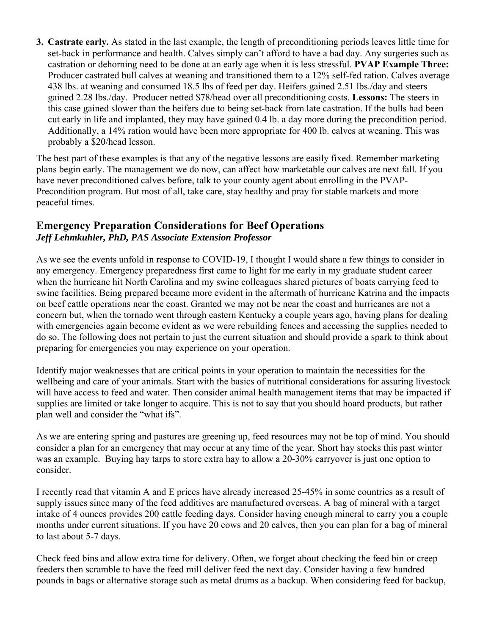**3. Castrate early.** As stated in the last example, the length of preconditioning periods leaves little time for set-back in performance and health. Calves simply can't afford to have a bad day. Any surgeries such as castration or dehorning need to be done at an early age when it is less stressful. **PVAP Example Three:**  Producer castrated bull calves at weaning and transitioned them to a 12% self-fed ration. Calves average 438 lbs. at weaning and consumed 18.5 lbs of feed per day. Heifers gained 2.51 lbs./day and steers gained 2.28 lbs./day. Producer netted \$78/head over all preconditioning costs. **Lessons:** The steers in this case gained slower than the heifers due to being set-back from late castration. If the bulls had been cut early in life and implanted, they may have gained 0.4 lb. a day more during the precondition period. Additionally, a 14% ration would have been more appropriate for 400 lb. calves at weaning. This was probably a \$20/head lesson.

The best part of these examples is that any of the negative lessons are easily fixed. Remember marketing plans begin early. The management we do now, can affect how marketable our calves are next fall. If you have never preconditioned calves before, talk to your county agent about enrolling in the PVAP-Precondition program. But most of all, take care, stay healthy and pray for stable markets and more peaceful times.

## **Emergency Preparation Considerations for Beef Operations**  *Jeff Lehmkuhler, PhD, PAS Associate Extension Professor*

As we see the events unfold in response to COVID-19, I thought I would share a few things to consider in any emergency. Emergency preparedness first came to light for me early in my graduate student career when the hurricane hit North Carolina and my swine colleagues shared pictures of boats carrying feed to swine facilities. Being prepared became more evident in the aftermath of hurricane Katrina and the impacts on beef cattle operations near the coast. Granted we may not be near the coast and hurricanes are not a concern but, when the tornado went through eastern Kentucky a couple years ago, having plans for dealing with emergencies again become evident as we were rebuilding fences and accessing the supplies needed to do so. The following does not pertain to just the current situation and should provide a spark to think about preparing for emergencies you may experience on your operation.

Identify major weaknesses that are critical points in your operation to maintain the necessities for the wellbeing and care of your animals. Start with the basics of nutritional considerations for assuring livestock will have access to feed and water. Then consider animal health management items that may be impacted if supplies are limited or take longer to acquire. This is not to say that you should hoard products, but rather plan well and consider the "what ifs".

As we are entering spring and pastures are greening up, feed resources may not be top of mind. You should consider a plan for an emergency that may occur at any time of the year. Short hay stocks this past winter was an example. Buying hay tarps to store extra hay to allow a 20-30% carryover is just one option to consider.

I recently read that vitamin A and E prices have already increased 25-45% in some countries as a result of supply issues since many of the feed additives are manufactured overseas. A bag of mineral with a target intake of 4 ounces provides 200 cattle feeding days. Consider having enough mineral to carry you a couple months under current situations. If you have 20 cows and 20 calves, then you can plan for a bag of mineral to last about 5-7 days.

Check feed bins and allow extra time for delivery. Often, we forget about checking the feed bin or creep feeders then scramble to have the feed mill deliver feed the next day. Consider having a few hundred pounds in bags or alternative storage such as metal drums as a backup. When considering feed for backup,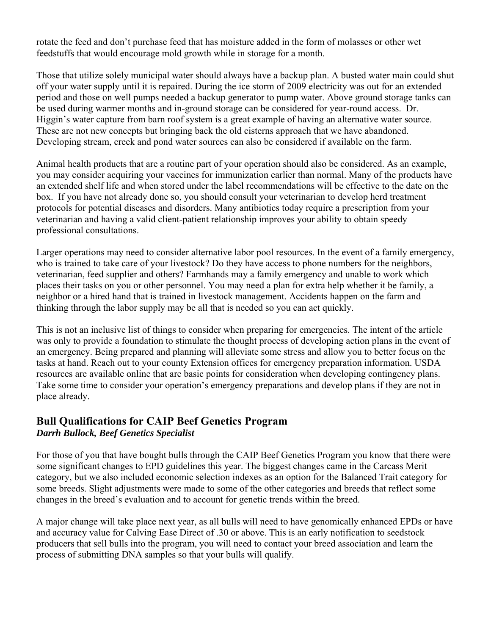rotate the feed and don't purchase feed that has moisture added in the form of molasses or other wet feedstuffs that would encourage mold growth while in storage for a month.

Those that utilize solely municipal water should always have a backup plan. A busted water main could shut off your water supply until it is repaired. During the ice storm of 2009 electricity was out for an extended period and those on well pumps needed a backup generator to pump water. Above ground storage tanks can be used during warmer months and in-ground storage can be considered for year-round access. Dr. Higgin's water capture from barn roof system is a great example of having an alternative water source. These are not new concepts but bringing back the old cisterns approach that we have abandoned. Developing stream, creek and pond water sources can also be considered if available on the farm.

Animal health products that are a routine part of your operation should also be considered. As an example, you may consider acquiring your vaccines for immunization earlier than normal. Many of the products have an extended shelf life and when stored under the label recommendations will be effective to the date on the box. If you have not already done so, you should consult your veterinarian to develop herd treatment protocols for potential diseases and disorders. Many antibiotics today require a prescription from your veterinarian and having a valid client-patient relationship improves your ability to obtain speedy professional consultations.

Larger operations may need to consider alternative labor pool resources. In the event of a family emergency, who is trained to take care of your livestock? Do they have access to phone numbers for the neighbors, veterinarian, feed supplier and others? Farmhands may a family emergency and unable to work which places their tasks on you or other personnel. You may need a plan for extra help whether it be family, a neighbor or a hired hand that is trained in livestock management. Accidents happen on the farm and thinking through the labor supply may be all that is needed so you can act quickly.

This is not an inclusive list of things to consider when preparing for emergencies. The intent of the article was only to provide a foundation to stimulate the thought process of developing action plans in the event of an emergency. Being prepared and planning will alleviate some stress and allow you to better focus on the tasks at hand. Reach out to your county Extension offices for emergency preparation information. USDA resources are available online that are basic points for consideration when developing contingency plans. Take some time to consider your operation's emergency preparations and develop plans if they are not in place already.

### **Bull Qualifications for CAIP Beef Genetics Program**  *Darrh Bullock, Beef Genetics Specialist*

For those of you that have bought bulls through the CAIP Beef Genetics Program you know that there were some significant changes to EPD guidelines this year. The biggest changes came in the Carcass Merit category, but we also included economic selection indexes as an option for the Balanced Trait category for some breeds. Slight adjustments were made to some of the other categories and breeds that reflect some changes in the breed's evaluation and to account for genetic trends within the breed.

A major change will take place next year, as all bulls will need to have genomically enhanced EPDs or have and accuracy value for Calving Ease Direct of .30 or above. This is an early notification to seedstock producers that sell bulls into the program, you will need to contact your breed association and learn the process of submitting DNA samples so that your bulls will qualify.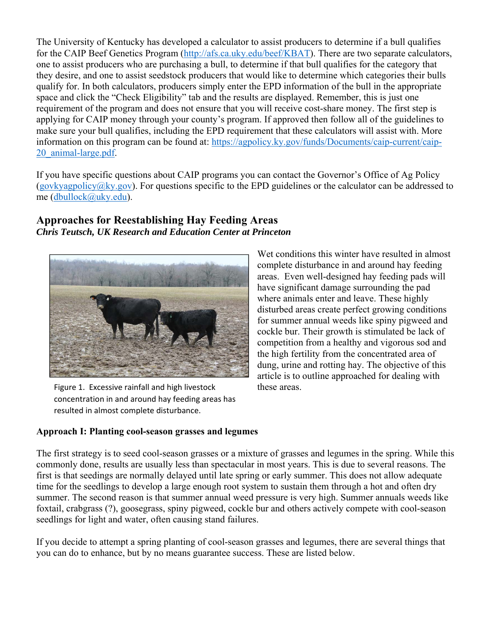The University of Kentucky has developed a calculator to assist producers to determine if a bull qualifies for the CAIP Beef Genetics Program (http://afs.ca.uky.edu/beef/KBAT). There are two separate calculators, one to assist producers who are purchasing a bull, to determine if that bull qualifies for the category that they desire, and one to assist seedstock producers that would like to determine which categories their bulls qualify for. In both calculators, producers simply enter the EPD information of the bull in the appropriate space and click the "Check Eligibility" tab and the results are displayed. Remember, this is just one requirement of the program and does not ensure that you will receive cost-share money. The first step is applying for CAIP money through your county's program. If approved then follow all of the guidelines to make sure your bull qualifies, including the EPD requirement that these calculators will assist with. More information on this program can be found at: https://agpolicy.ky.gov/funds/Documents/caip-current/caip-20\_animal-large.pdf.

If you have specific questions about CAIP programs you can contact the Governor's Office of Ag Policy (govkyagpolicy@ky.gov). For questions specific to the EPD guidelines or the calculator can be addressed to me (dbullock@uky.edu).

### **Approaches for Reestablishing Hay Feeding Areas**  *Chris Teutsch, UK Research and Education Center at Princeton*



Figure 1. Excessive rainfall and high livestock concentration in and around hay feeding areas has resulted in almost complete disturbance.

Wet conditions this winter have resulted in almost complete disturbance in and around hay feeding areas. Even well-designed hay feeding pads will have significant damage surrounding the pad where animals enter and leave. These highly disturbed areas create perfect growing conditions for summer annual weeds like spiny pigweed and cockle bur. Their growth is stimulated be lack of competition from a healthy and vigorous sod and the high fertility from the concentrated area of dung, urine and rotting hay. The objective of this article is to outline approached for dealing with these areas.

### **Approach I: Planting cool-season grasses and legumes**

The first strategy is to seed cool-season grasses or a mixture of grasses and legumes in the spring. While this commonly done, results are usually less than spectacular in most years. This is due to several reasons. The first is that seedings are normally delayed until late spring or early summer. This does not allow adequate time for the seedlings to develop a large enough root system to sustain them through a hot and often dry summer. The second reason is that summer annual weed pressure is very high. Summer annuals weeds like foxtail, crabgrass (?), goosegrass, spiny pigweed, cockle bur and others actively compete with cool-season seedlings for light and water, often causing stand failures.

If you decide to attempt a spring planting of cool-season grasses and legumes, there are several things that you can do to enhance, but by no means guarantee success. These are listed below.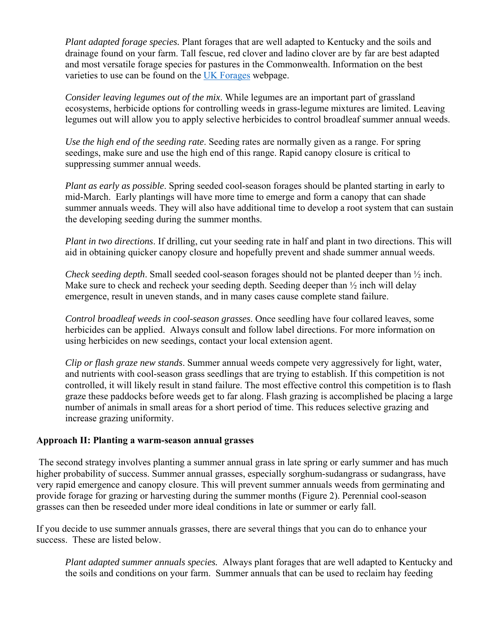*Plant adapted forage species.* Plant forages that are well adapted to Kentucky and the soils and drainage found on your farm. Tall fescue, red clover and ladino clover are by far are best adapted and most versatile forage species for pastures in the Commonwealth. Information on the best varieties to use can be found on the UK Forages webpage.

*Consider leaving legumes out of the mix*. While legumes are an important part of grassland ecosystems, herbicide options for controlling weeds in grass-legume mixtures are limited. Leaving legumes out will allow you to apply selective herbicides to control broadleaf summer annual weeds.

*Use the high end of the seeding rate*. Seeding rates are normally given as a range. For spring seedings, make sure and use the high end of this range. Rapid canopy closure is critical to suppressing summer annual weeds.

*Plant as early as possible*. Spring seeded cool-season forages should be planted starting in early to mid-March. Early plantings will have more time to emerge and form a canopy that can shade summer annuals weeds. They will also have additional time to develop a root system that can sustain the developing seeding during the summer months.

*Plant in two directions*. If drilling, cut your seeding rate in half and plant in two directions. This will aid in obtaining quicker canopy closure and hopefully prevent and shade summer annual weeds.

*Check seeding depth*. Small seeded cool-season forages should not be planted deeper than ½ inch. Make sure to check and recheck your seeding depth. Seeding deeper than  $\frac{1}{2}$  inch will delay emergence, result in uneven stands, and in many cases cause complete stand failure.

*Control broadleaf weeds in cool-season grasses*. Once seedling have four collared leaves, some herbicides can be applied. Always consult and follow label directions. For more information on using herbicides on new seedings, contact your local extension agent.

*Clip or flash graze new stands*. Summer annual weeds compete very aggressively for light, water, and nutrients with cool-season grass seedlings that are trying to establish. If this competition is not controlled, it will likely result in stand failure. The most effective control this competition is to flash graze these paddocks before weeds get to far along. Flash grazing is accomplished be placing a large number of animals in small areas for a short period of time. This reduces selective grazing and increase grazing uniformity.

#### **Approach II: Planting a warm-season annual grasses**

 The second strategy involves planting a summer annual grass in late spring or early summer and has much higher probability of success. Summer annual grasses, especially sorghum-sudangrass or sudangrass, have very rapid emergence and canopy closure. This will prevent summer annuals weeds from germinating and provide forage for grazing or harvesting during the summer months (Figure 2). Perennial cool-season grasses can then be reseeded under more ideal conditions in late or summer or early fall.

If you decide to use summer annuals grasses, there are several things that you can do to enhance your success. These are listed below.

*Plant adapted summer annuals species.* Always plant forages that are well adapted to Kentucky and the soils and conditions on your farm. Summer annuals that can be used to reclaim hay feeding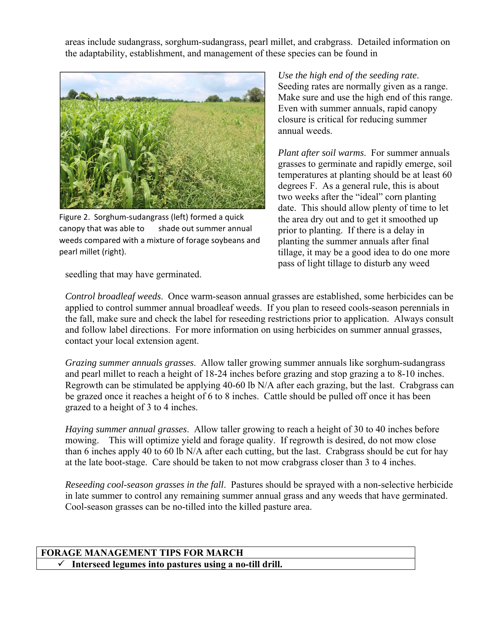areas include sudangrass, sorghum-sudangrass, pearl millet, and crabgrass. Detailed information on the adaptability, establishment, and management of these species can be found in



Figure 2. Sorghum‐sudangrass (left) formed a quick canopy that was able to shade out summer annual weeds compared with a mixture of forage soybeans and pearl millet (right).

*Use the high end of the seeding rate*. Seeding rates are normally given as a range. Make sure and use the high end of this range. Even with summer annuals, rapid canopy closure is critical for reducing summer annual weeds.

*Plant after soil warms*. For summer annuals grasses to germinate and rapidly emerge, soil temperatures at planting should be at least 60 degrees F. As a general rule, this is about two weeks after the "ideal" corn planting date. This should allow plenty of time to let the area dry out and to get it smoothed up prior to planting. If there is a delay in planting the summer annuals after final tillage, it may be a good idea to do one more pass of light tillage to disturb any weed

seedling that may have germinated.

*Control broadleaf weeds*. Once warm-season annual grasses are established, some herbicides can be applied to control summer annual broadleaf weeds. If you plan to reseed cools-season perennials in the fall, make sure and check the label for reseeding restrictions prior to application. Always consult and follow label directions. For more information on using herbicides on summer annual grasses, contact your local extension agent.

*Grazing summer annuals grasses*. Allow taller growing summer annuals like sorghum-sudangrass and pearl millet to reach a height of 18-24 inches before grazing and stop grazing a to 8-10 inches. Regrowth can be stimulated be applying 40-60 lb N/A after each grazing, but the last. Crabgrass can be grazed once it reaches a height of 6 to 8 inches. Cattle should be pulled off once it has been grazed to a height of 3 to 4 inches.

*Haying summer annual grasses*. Allow taller growing to reach a height of 30 to 40 inches before mowing. This will optimize yield and forage quality. If regrowth is desired, do not mow close than 6 inches apply 40 to 60 lb N/A after each cutting, but the last. Crabgrass should be cut for hay at the late boot-stage. Care should be taken to not mow crabgrass closer than 3 to 4 inches.

*Reseeding cool-season grasses in the fall*. Pastures should be sprayed with a non-selective herbicide in late summer to control any remaining summer annual grass and any weeds that have germinated. Cool-season grasses can be no-tilled into the killed pasture area.

### **FORAGE MANAGEMENT TIPS FOR MARCH Interseed legumes into pastures using a no-till drill.**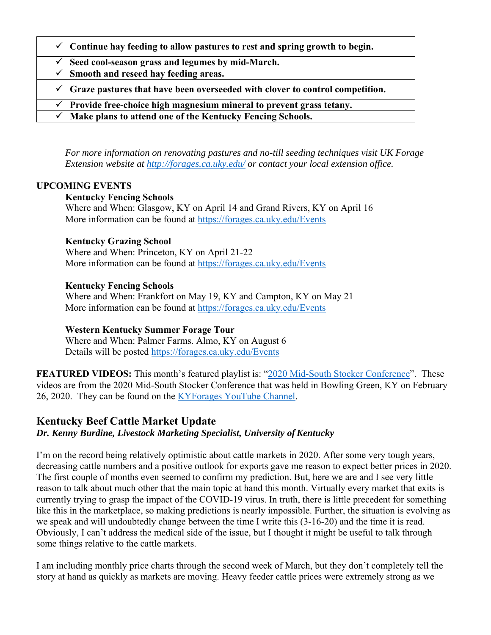| $\checkmark$ Continue hay feeding to allow pastures to rest and spring growth to begin.   |
|-------------------------------------------------------------------------------------------|
| $\checkmark$ Seed cool-season grass and legumes by mid-March.                             |
| $\checkmark$ Smooth and reseed hay feeding areas.                                         |
| $\checkmark$ Graze pastures that have been overseeded with clover to control competition. |
| Provide free-choice high magnesium mineral to prevent grass tetany.<br>$\checkmark$       |
| Make plans to attend one of the Kentucky Fencing Schools.<br>$\checkmark$                 |

*For more information on renovating pastures and no-till seeding techniques visit UK Forage Extension website at http://forages.ca.uky.edu/ or contact your local extension office.* 

#### **UPCOMING EVENTS**

#### **Kentucky Fencing Schools**

Where and When: Glasgow, KY on April 14 and Grand Rivers, KY on April 16 More information can be found at https://forages.ca.uky.edu/Events

#### **Kentucky Grazing School**

Where and When: Princeton, KY on April 21-22 More information can be found at https://forages.ca.uky.edu/Events

### **Kentucky Fencing Schools**

Where and When: Frankfort on May 19, KY and Campton, KY on May 21 More information can be found at https://forages.ca.uky.edu/Events

### **Western Kentucky Summer Forage Tour**

Where and When: Palmer Farms. Almo, KY on August 6 Details will be posted https://forages.ca.uky.edu/Events

FEATURED VIDEOS: This month's featured playlist is: "2020 Mid-South Stocker Conference". These videos are from the 2020 Mid-South Stocker Conference that was held in Bowling Green, KY on February 26, 2020. They can be found on the **KYForages YouTube Channel**.

### **Kentucky Beef Cattle Market Update** *Dr. Kenny Burdine, Livestock Marketing Specialist, University of Kentucky*

I'm on the record being relatively optimistic about cattle markets in 2020. After some very tough years, decreasing cattle numbers and a positive outlook for exports gave me reason to expect better prices in 2020. The first couple of months even seemed to confirm my prediction. But, here we are and I see very little reason to talk about much other that the main topic at hand this month. Virtually every market that exits is currently trying to grasp the impact of the COVID-19 virus. In truth, there is little precedent for something like this in the marketplace, so making predictions is nearly impossible. Further, the situation is evolving as we speak and will undoubtedly change between the time I write this (3-16-20) and the time it is read. Obviously, I can't address the medical side of the issue, but I thought it might be useful to talk through some things relative to the cattle markets.

I am including monthly price charts through the second week of March, but they don't completely tell the story at hand as quickly as markets are moving. Heavy feeder cattle prices were extremely strong as we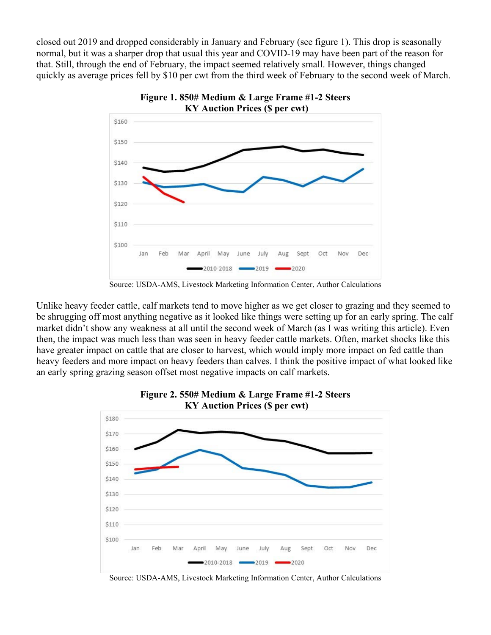closed out 2019 and dropped considerably in January and February (see figure 1). This drop is seasonally normal, but it was a sharper drop that usual this year and COVID-19 may have been part of the reason for that. Still, through the end of February, the impact seemed relatively small. However, things changed quickly as average prices fell by \$10 per cwt from the third week of February to the second week of March.



**Figure 1. 850# Medium & Large Frame #1-2 Steers** 

Source: USDA-AMS, Livestock Marketing Information Center, Author Calculations

Unlike heavy feeder cattle, calf markets tend to move higher as we get closer to grazing and they seemed to be shrugging off most anything negative as it looked like things were setting up for an early spring. The calf market didn't show any weakness at all until the second week of March (as I was writing this article). Even then, the impact was much less than was seen in heavy feeder cattle markets. Often, market shocks like this have greater impact on cattle that are closer to harvest, which would imply more impact on fed cattle than heavy feeders and more impact on heavy feeders than calves. I think the positive impact of what looked like an early spring grazing season offset most negative impacts on calf markets.



Source: USDA-AMS, Livestock Marketing Information Center, Author Calculations